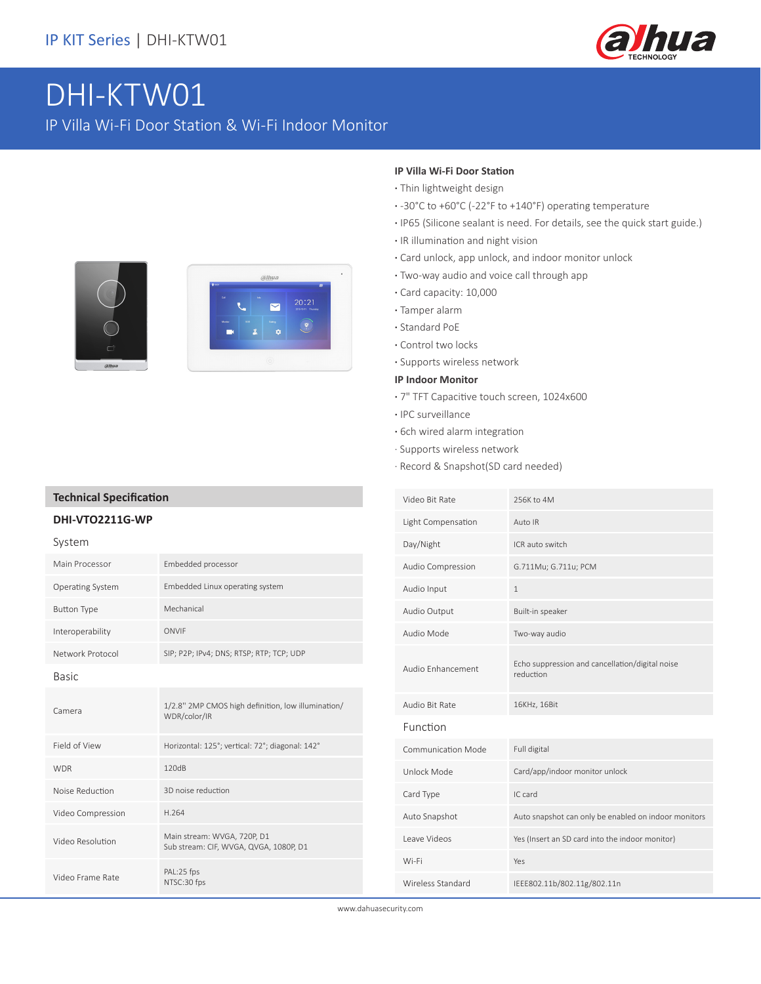

# DHI-KTW01

IP Villa Wi-Fi Door Station & Wi-Fi Indoor Monitor





#### **IP Villa Wi-Fi Door Station**

- **·** Thin lightweight design
- **·** -30°C to +60°C (-22°F to +140°F) operating temperature
- **·** IP65 (Silicone sealant is need. For details, see the quick start guide.)
- **·** IR illumination and night vision
- **·** Card unlock, app unlock, and indoor monitor unlock
- **·** Two-way audio and voice call through app
- **·** Card capacity: 10,000
- **·** Tamper alarm
- **·** Standard PoE
- **·** Control two locks
- **·** Supports wireless network

### **IP Indoor Monitor**

- **·** 7" TFT Capacitive touch screen, 1024x600
- **·** IPC surveillance
- **·** 6ch wired alarm integration
- · Supports wireless network
- · Record & Snapshot(SD card needed)

| Video Bit Rate            | 256K to 4M                                                   |  |
|---------------------------|--------------------------------------------------------------|--|
| Light Compensation        | Auto IR                                                      |  |
| Day/Night                 | ICR auto switch                                              |  |
| Audio Compression         | G.711Mu; G.711u; PCM                                         |  |
| Audio Input               | 1                                                            |  |
| Audio Output              | Built-in speaker                                             |  |
| Audio Mode                | Two-way audio                                                |  |
| Audio Enhancement         | Echo suppression and cancellation/digital noise<br>reduction |  |
| Audio Bit Rate            | 16KHz, 16Bit                                                 |  |
| Function                  |                                                              |  |
| <b>Communication Mode</b> | Full digital                                                 |  |
| Unlock Mode               | Card/app/indoor monitor unlock                               |  |
| Card Type                 | IC card                                                      |  |
| Auto Snapshot             | Auto snapshot can only be enabled on indoor monitors         |  |
| Leave Videos              | Yes (Insert an SD card into the indoor monitor)              |  |
| Wi-Fi                     | Yes                                                          |  |
| Wireless Standard         | IEEE802.11b/802.11g/802.11n                                  |  |

www.dahuasecurity.com

### **Technical Specification**

### **DHI-VTO2211G-WP**

System

| <b>JYJLEIII</b>    |                                                                       |  |
|--------------------|-----------------------------------------------------------------------|--|
| Main Processor     | Embedded processor                                                    |  |
| Operating System   | Embedded Linux operating system                                       |  |
| <b>Button Type</b> | Mechanical                                                            |  |
| Interoperability   | ONVIF                                                                 |  |
| Network Protocol   | SIP; P2P; IPv4; DNS; RTSP; RTP; TCP; UDP                              |  |
| <b>Basic</b>       |                                                                       |  |
| Camera             | 1/2.8" 2MP CMOS high definition, low illumination/<br>WDR/color/IR    |  |
| Field of View      | Horizontal: 125°; vertical: 72°; diagonal: 142°                       |  |
| <b>WDR</b>         | 120dB                                                                 |  |
| Noise Reduction    | 3D noise reduction                                                    |  |
| Video Compression  | H.264                                                                 |  |
| Video Resolution   | Main stream: WVGA, 720P, D1<br>Sub stream: CIF, WVGA, QVGA, 1080P, D1 |  |
| Video Frame Rate   | PAL:25 fps<br>NTSC:30 fps                                             |  |
|                    |                                                                       |  |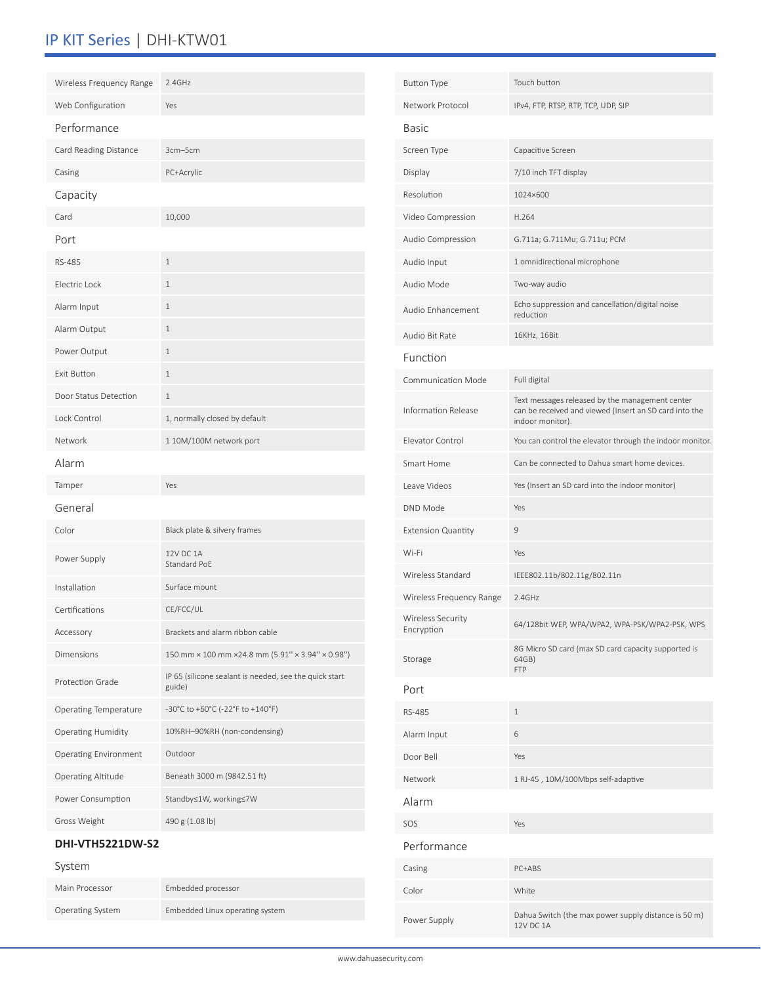## IP KIT Series | DHI-KTW01

| Wireless Frequency Range              | 2.4GHz                                                           | <b>Button Type</b>        | Touch button                                                                                                                  |
|---------------------------------------|------------------------------------------------------------------|---------------------------|-------------------------------------------------------------------------------------------------------------------------------|
| Web Configuration                     | Yes                                                              | Network Protocol          | IPv4, FTP, RTSP, RTP, TCP, UDP, SIP                                                                                           |
| Performance                           |                                                                  | Basic                     |                                                                                                                               |
| Card Reading Distance                 | 3cm-5cm                                                          | Screen Type               | Capacitive Screen                                                                                                             |
| Casing                                | PC+Acrylic                                                       | Display                   | 7/10 inch TFT display                                                                                                         |
| Capacity                              |                                                                  | Resolution                | 1024×600                                                                                                                      |
| Card                                  | 10,000                                                           | Video Compression         | H.264                                                                                                                         |
| Port                                  |                                                                  | Audio Compression         | G.711a; G.711Mu; G.711u; PCM                                                                                                  |
| RS-485                                | $\,1\,$                                                          | Audio Input               | 1 omnidirectional microphone                                                                                                  |
| Electric Lock                         | $\mathbf{1}$                                                     | Audio Mode                | Two-way audio                                                                                                                 |
| Alarm Input                           | $\,1\,$                                                          | Audio Enhancement         | Echo suppression and cancellation/digital noise<br>reduction                                                                  |
| Alarm Output                          | $\mathbf{1}$                                                     | Audio Bit Rate            | 16KHz, 16Bit                                                                                                                  |
| Power Output                          | $\,1\,$                                                          | Function                  |                                                                                                                               |
| Exit Button                           | $\,1\,$                                                          | Communication Mode        | Full digital                                                                                                                  |
| Door Status Detection<br>Lock Control | $\mathbf{1}$<br>1, normally closed by default                    | Information Release       | Text messages released by the management center<br>can be received and viewed (Insert an SD card into the<br>indoor monitor). |
| Network                               | 1 10M/100M network port                                          | Elevator Control          | You can control the elevator through the indoor monitor.                                                                      |
| Alarm                                 |                                                                  | Smart Home                | Can be connected to Dahua smart home devices.                                                                                 |
| Tamper                                | Yes                                                              | Leave Videos              | Yes (Insert an SD card into the indoor monitor)                                                                               |
| General                               |                                                                  | DND Mode                  | Yes                                                                                                                           |
| Color                                 | Black plate & silvery frames                                     | <b>Extension Quantity</b> | $\mathsf 9$                                                                                                                   |
|                                       | 12V DC 1A                                                        | Wi-Fi                     | Yes                                                                                                                           |
| Power Supply                          | Standard PoE                                                     | Wireless Standard         | IEEE802.11b/802.11g/802.11n                                                                                                   |
| Installation                          | Surface mount                                                    | Wireless Frequency Range  | 2.4GHz                                                                                                                        |
| Certifications                        | CE/FCC/UL                                                        | <b>Wireless Security</b>  | 64/128bit WEP, WPA/WPA2, WPA-PSK/WPA2-PSK, WPS                                                                                |
| Accessory                             | Brackets and alarm ribbon cable                                  | Encryption                |                                                                                                                               |
| Dimensions                            | 150 mm × 100 mm × 24.8 mm (5.91" × 3.94" × 0.98")                | Storage                   | 8G Micro SD card (max SD card capacity supported is<br>64GB)<br><b>FTP</b>                                                    |
| Protection Grade                      | IP 65 (silicone sealant is needed, see the quick start<br>guide) | Port                      |                                                                                                                               |
| Operating Temperature                 | -30°C to +60°C (-22°F to +140°F)                                 | RS-485                    | $\mathbf{1}$                                                                                                                  |
| <b>Operating Humidity</b>             | 10%RH-90%RH (non-condensing)                                     | Alarm Input               | 6                                                                                                                             |
| <b>Operating Environment</b>          | Outdoor                                                          | Door Bell                 | Yes                                                                                                                           |
| Operating Altitude                    | Beneath 3000 m (9842.51 ft)                                      | Network                   | 1 RJ-45, 10M/100Mbps self-adaptive                                                                                            |
| Power Consumption                     | Standby≤1W, working≤7W                                           | Alarm                     |                                                                                                                               |
| Gross Weight                          | 490 g (1.08 lb)                                                  | SOS                       | Yes                                                                                                                           |
| DHI-VTH5221DW-S2                      |                                                                  | Performance               |                                                                                                                               |
| System                                |                                                                  | Casing                    | PC+ABS                                                                                                                        |
| Main Processor                        | Embedded processor                                               | Color                     | White                                                                                                                         |
| Operating System                      | Embedded Linux operating system                                  | Power Supply              | Dahua Switch (the max power supply distance is 50 m)<br>12V DC 1A                                                             |